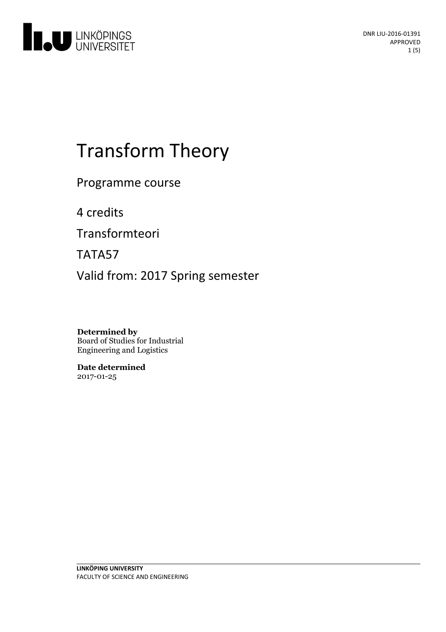

# Transform Theory

Programme course

4 credits

Transformteori

TATA57

Valid from: 2017 Spring semester

**Determined by** Board of Studies for Industrial Engineering and Logistics

**Date determined** 2017-01-25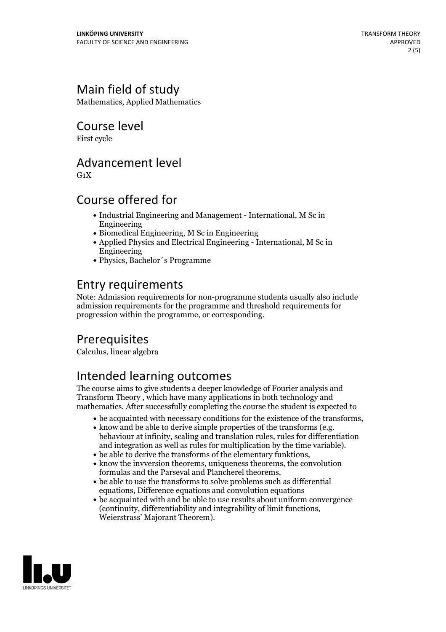# Main field of study

Mathematics, Applied Mathematics

Course level

First cycle

#### Advancement level

 $G_1X$ 

## Course offered for

- Industrial Engineering and Management International, M Sc in Engineering
- Biomedical Engineering, M Sc in Engineering
- Applied Physics and Electrical Engineering International, M Sc in Engineering
- Physics, Bachelor´s Programme

## Entry requirements

Note: Admission requirements for non-programme students usually also include admission requirements for the programme and threshold requirements for progression within the programme, or corresponding.

# Prerequisites

Calculus, linear algebra

# Intended learning outcomes

The course aims to give students a deeper knowledge of Fourier analysis and Transform Theory , which have many applications in both technology and mathematics. After successfully completing the course the student is expected to

- 
- be acquainted with necessary conditions for the existence of the transforms,<br>• know and be able to derive simple properties of the transforms (e.g.<br>behaviour at infinity, scaling and translation rules, rules for differen
- 
- and integration as well as rules for multiplication by the time variable).<br>
 be able to derive the transforms of the elementary funktions,<br>
 know the invversion theorems, uniqueness theorems, the convolution<br>
formulas an
- $\bullet$  be able to use the transforms to solve problems such as differential equations, Difference equations and convolution equations
- be acquainted with and be able to use results about uniform convergence (continuity, differentiability and integrability of limit functions, Weierstrass' Majorant Theorem).

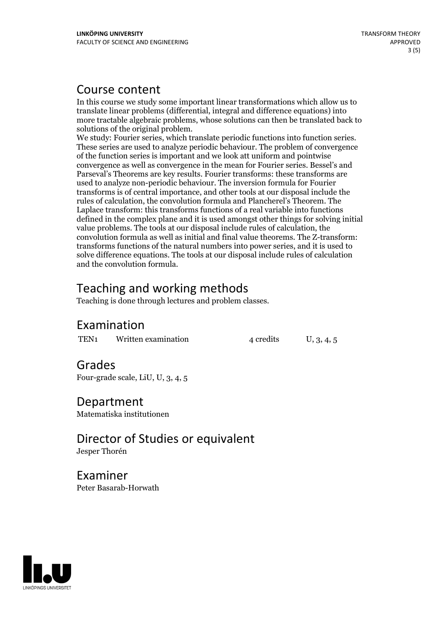#### Course content

In this course we study some important linear transformations which allow us to translate linear problems (differential, integral and difference equations) into more tractable algebraic problems, whose solutions can then be translated back to

solutions of the original problem. We study: Fourier series, which translate periodic functions into function series. These series are used to analyze periodic behaviour. The problem of convergence of the function series is important and we look attuniform and pointwise convergence as well as convergence in the mean for Fourier series. Bessel's and Parseval's Theorems are key results. Fourier transforms: these transforms are used to analyze non-periodic behaviour. The inversion formula for Fourier transforms is of central importance, and other tools at our disposal include the rules of calculation, the convolution formula and Plancherel's Theorem. The Laplace transform: this transforms functions of a real variable into functions defined in the complex plane and it is used amongst other things for solving initial value problems. The tools at our disposal include rules of calculation, the convolution formula as well as initial and final value theorems. The Z-transform: transforms functions of the natural numbers into power series, and it is used to solve difference equations. The tools at our disposal include rules of calculation and the convolution formula.

# Teaching and working methods

Teaching is done through lectures and problem classes.

#### Examination

TEN<sub>1</sub> Written examination  $4$  credits  $U$ ,  $3$ ,  $4$ ,  $5$ 

# Grades

Four-grade scale, LiU, U, 3, 4, 5

Department Matematiska institutionen

Director of Studies or equivalent Jesper Thorén

Examiner Peter Basarab-Horwath

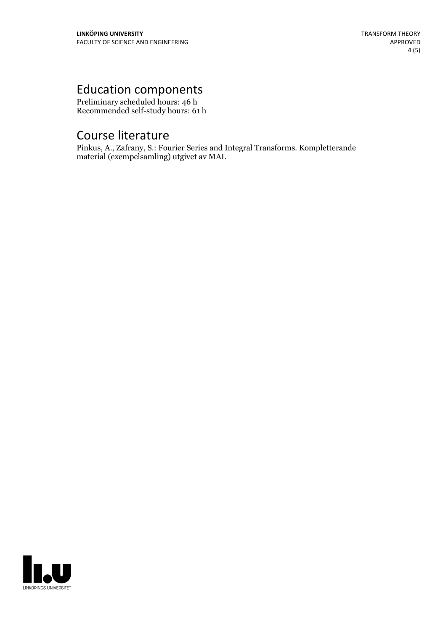# Education components

Preliminary scheduled hours: 46 h Recommended self-study hours: 61 h

# Course literature

Pinkus, A., Zafrany, S.: Fourier Series and Integral Transforms. Kompletterande material (exempelsamling) utgivet av MAI.